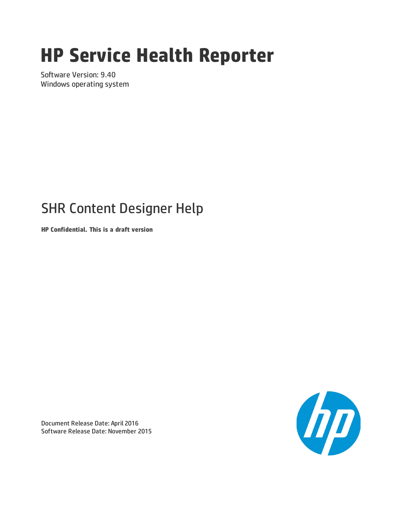# **HP Service Health Reporter**

Software Version: 9.40 Windows operating system

## SHR Content Designer Help

**HP Confidential. This is a draft version**



Document Release Date: April 2016 Software Release Date: November 2015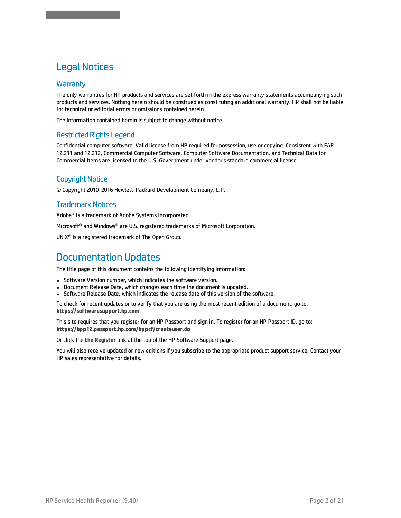### Legal Notices

SHR Content Designer Help

#### **Warranty**

The only warranties for HP products and services are set forth in the express warranty statements accompanying such products and services. Nothing herein should be construed as constituting an additional warranty. HP shall not be liable for technical or editorial errors or omissions contained herein.

The information contained herein is subject to change without notice.

#### Restricted Rights Legend

Confidential computer software. Valid license from HP required for possession, use or copying. Consistent with FAR 12.211 and 12.212, Commercial Computer Software, Computer Software Documentation, and Technical Data for Commercial Items are licensed to the U.S. Government under vendor's standard commercial license.

#### Copyright Notice

© Copyright 2010-2016 Hewlett-Packard Development Company, L.P.

#### Trademark Notices

Adobe® is a trademark of Adobe Systems Incorporated.

Microsoft® and Windows® are U.S. registered trademarks of Microsoft Corporation.

UNIX® is a registered trademark of The Open Group.

### Documentation Updates

The title page of this document contains the following identifying information:

- Software Version number, which indicates the software version.
- Document Release Date, which changes each time the document is updated.
- Software Release Date, which indicates the release date of this version of the software.

To check for recent updates or to verify that you are using the most recent edition of a document, go to: **https://softwaresupport.hp.com**

This site requires that you register for an HP Passport and sign in. To register for an HP Passport ID, go to: **https://hpp12.passport.hp.com/hppcf/createuser.do**

Or click the **the Register** link at the top of the HP Software Support page.

You will also receive updated or new editions if you subscribe to the appropriate product support service. Contact your HP sales representative for details.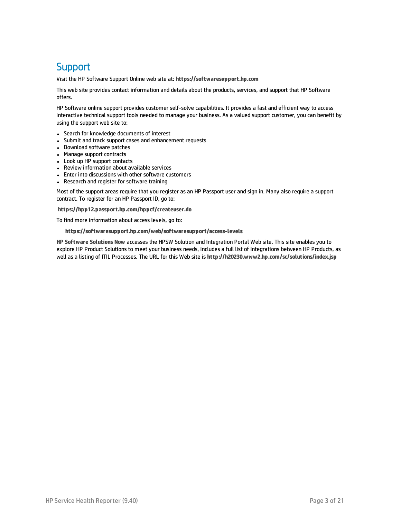### **Support**

Visit the HP Software Support Online web site at: **https://softwaresupport.hp.com**

This web site provides contact information and details about the products, services, and support that HP Software offers.

HP Software online support provides customer self-solve capabilities. It provides a fast and efficient way to access interactive technical support tools needed to manage your business. As a valued support customer, you can benefit by using the support web site to:

- Search for knowledge documents of interest
- Submit and track support cases and enhancement requests
- Download software patches
- Manage support contracts
- Look up HP support contacts
- Review information about available services
- Enter into discussions with other software customers
- Research and register for software training

Most of the support areas require that you register as an HP Passport user and sign in. Many also require a support contract. To register for an HP Passport ID, go to:

**https://hpp12.passport.hp.com/hppcf/createuser.do**

To find more information about access levels, go to:

#### **https://softwaresupport.hp.com/web/softwaresupport/access-levels**

**HP Software Solutions Now** accesses the HPSW Solution and Integration Portal Web site. This site enables you to explore HP Product Solutions to meet your business needs, includes a full list of Integrations between HP Products, as well as a listing of ITIL Processes. The URL for this Web site is **http://h20230.www2.hp.com/sc/solutions/index.jsp**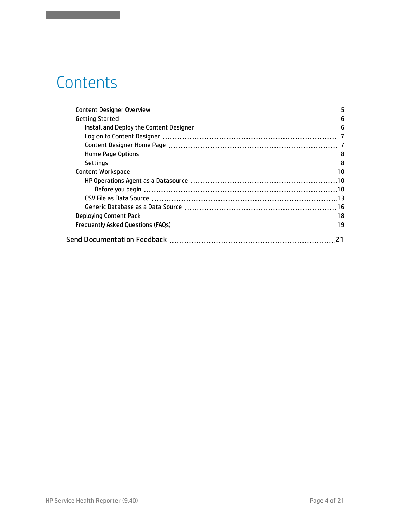## **Contents**

SHR Content Designer Help

| 21 |
|----|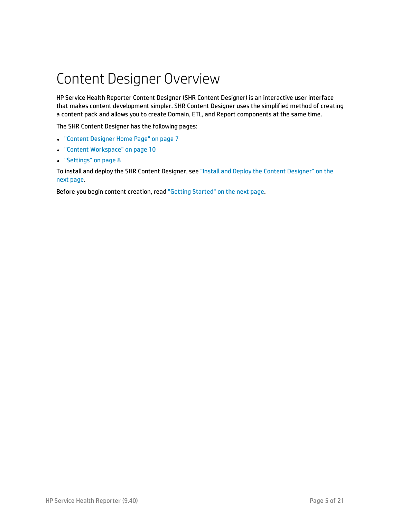## <span id="page-4-0"></span>Content Designer Overview

HP Service Health Reporter Content Designer (SHR Content Designer) is an interactive user interface that makes content development simpler. SHR Content Designer uses the simplified method of creating a content pack and allows you to create Domain, ETL, and Report components at the same time.

The SHR Content Designer has the following pages:

- **.** "Content [Designer](#page-6-1) Home Page" on page 7
- <sup>l</sup> "Content [Workspace"](#page-9-0) on page 10
- **.** ["Settings"](#page-7-1) on page 8

To install and deploy the SHR Content Designer, see "Install and Deploy the Content [Designer"](#page-5-1) on the next [page](#page-5-1).

Before you begin content creation, read "Getting [Started"](#page-5-0) on the next page.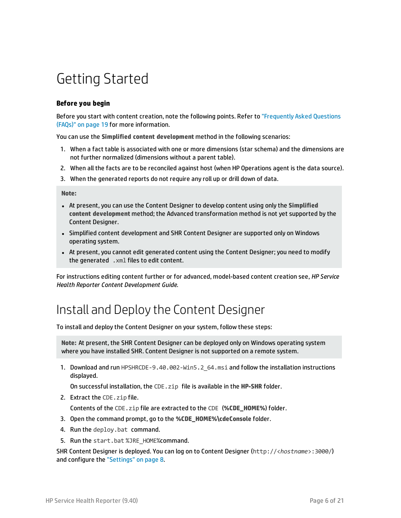## <span id="page-5-0"></span>Getting Started

#### **Before you begin**

Before you start with content creation, note the following points. Refer to ["Frequently](#page-18-0) Asked Questions [\(FAQs\)"](#page-18-0) on page 19 for more information.

You can use the **Simplified content development** method in the following scenarios:

- 1. When a fact table is associated with one or more dimensions (star schema) and the dimensions are not further normalized (dimensions without a parent table).
- 2. When all the facts are to be reconciled against host (when HP Operations agent is the data source).
- 3. When the generated reports do not require any roll up or drill down of data.

**Note:**

- <sup>l</sup> At present, you can use the Content Designer to develop content using only the **Simplified content development** method; the Advanced transformation method is not yet supported by the Content Designer.
- Simplified content development and SHR Content Designer are supported only on Windows operating system.
- At present, you cannot edit generated content using the Content Designer; you need to modify the generated .xml files to edit content.

<span id="page-5-1"></span>For instructions editing content further or for advanced, model-based content creation see, *HP Service Health Reporter Content Development Guide*.

### Install and Deploy the Content Designer

To install and deploy the Content Designer on your system, follow these steps:

**Note:** At present, the SHR Content Designer can be deployed only on Windows operating system where you have installed SHR. Content Designer is not supported on a remote system.

1. Download and run HPSHRCDE-9.40.002-Win5.2 64.msi and follow the installation instructions displayed.

On successful installation, the CDE.zip file is available in the **HP-SHR** folder.

2. Extract the CDE.zip file.

Contents of the CDE.zip file are extracted to the CDE (**%CDE\_HOME%**) folder.

- 3. Open the command prompt, go to the **%CDE\_HOME%\cdeConsole** folder.
- 4. Run the deploy.bat command.
- 5. Run the start.bat %JRE\_HOME%command.

SHR Content Designer is deployed. You can log on to Content Designer (http://<*hostname*>:3000/) and configure the ["Settings"](#page-7-1) on page 8.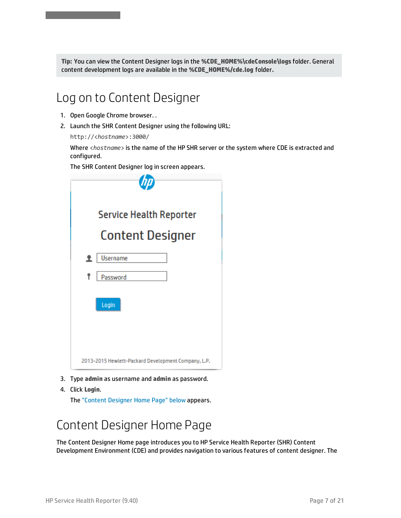<span id="page-6-0"></span>**Tip:** You can view the Content Designer logs in the **%CDE\_HOME%\cdeConsole\logs** folder. General content development logs are available in the **%CDE\_HOME%/cde.log** folder**.**

### Log on to Content Designer

1. Open Google Chrome browser. .

SHR Content Designer Help

2. Launch the SHR Content Designer using the following URL:

http://<*hostname*>:3000/

Where <*hostname*> is the name of the HP SHR server or the system where CDE is extracted and configured.

The SHR Content Designer log in screen appears.

| Service Health Reporter                             |
|-----------------------------------------------------|
| <b>Content Designer</b>                             |
| Username<br>1                                       |
| Password                                            |
| Login                                               |
| 2013-2015 Hewlett-Packard Development Company, L.P. |

- 3. Type **admin** as username and **admin** as password.
- 4. Click **Login**.

<span id="page-6-1"></span>The "Content [Designer](#page-6-1) Home Page" below appears.

### Content Designer Home Page

The Content Designer Home page introduces you to HP Service Health Reporter (SHR) Content Development Environment (CDE) and provides navigation to various features of content designer. The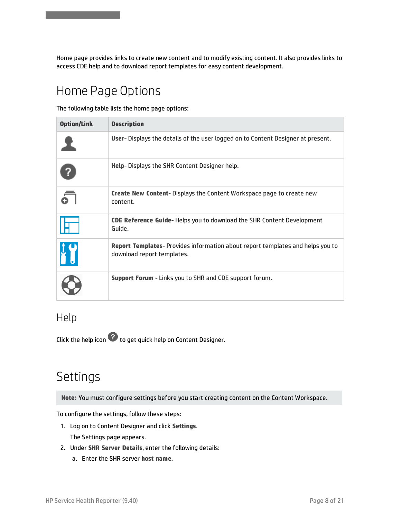<span id="page-7-0"></span>Home page provides links to create new content and to modify existing content. It also provides links to access CDE help and to download report templates for easy content development.

### Home Page Options

SHR Content Designer Help

The following table lists the home page options:

| <b>Option/Link</b> | <b>Description</b>                                                                                                  |
|--------------------|---------------------------------------------------------------------------------------------------------------------|
|                    | User-Displays the details of the user logged on to Content Designer at present.                                     |
|                    | Help-Displays the SHR Content Designer help.                                                                        |
|                    | <b>Create New Content-Displays the Content Workspace page to create new</b><br>content.                             |
|                    | <b>CDE Reference Guide-Helps you to download the SHR Content Development</b><br>Guide.                              |
|                    | <b>Report Templates-</b> Provides information about report templates and helps you to<br>download report templates. |
|                    | <b>Support Forum - Links you to SHR and CDE support forum.</b>                                                      |

### Help

Click the help icon  $\Omega$  to get quick help on Content Designer.

### <span id="page-7-1"></span>Settings

**Note:** You must configure settings before you start creating content on the Content Workspace.

To configure the settings, follow these steps:

- 1. Log on to Content Designer and click **Settings**. The Settings page appears.
- 2. Under **SHR Server Details**, enter the following details:
	- a. Enter the SHR server **host name**.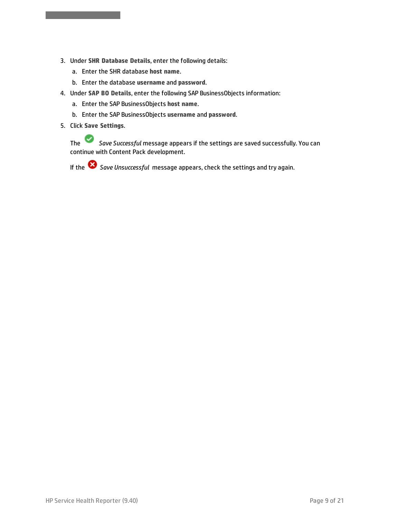- 3. Under **SHR Database Details**, enter the following details:
	- a. Enter the SHR database **host name**.
	- b. Enter the database **username** and **password**.
- 4. Under **SAP BO Details**, enter the following SAP BusinessObjects information:
	- a. Enter the SAP BusinessObjects **host name**.
	- b. Enter the SAP BusinessObjects **username** and **password**.
- 5. Click **Save Settings**.

SHR Content Designer Help

The *Save Successful* message appears if the settings are saved successfully. You can continue with Content Pack development.

If the *Save Unsuccessful* message appears, check the settings and try again.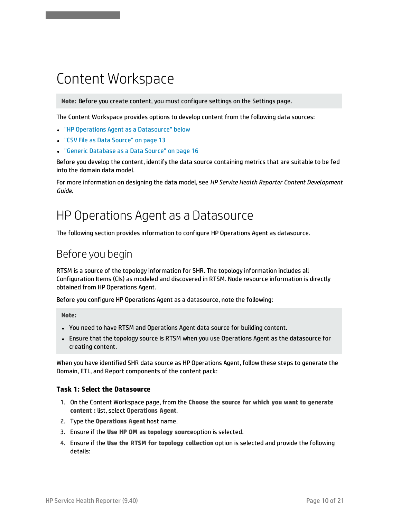## <span id="page-9-0"></span>Content Workspace

SHR Content Designer Help

**Note:** Before you create content, you must configure settings on the Settings page.

The Content Workspace provides options to develop content from the following data sources:

- <sup>l</sup> "HP Operations Agent as a [Datasource"](#page-9-1) below
- <sup>l</sup> "CSV File as Data [Source"](#page-12-0) on page 13
- <sup>l</sup> "Generic [Database](#page-15-0) as a Data Source" on page 16

Before you develop the content, identify the data source containing metrics that are suitable to be fed into the domain data model.

<span id="page-9-1"></span>For more information on designing the data model, see *HP Service Health Reporter Content Development Guide*.

### HP Operations Agent as a Datasource

<span id="page-9-2"></span>The following section provides information to configure HP Operations Agent as datasource.

### Before you begin

RTSM is a source of the topology information for SHR. The topology information includes all Configuration Items (CIs) as modeled and discovered in RTSM. Node resource information is directly obtained from HP Operations Agent.

Before you configure HP Operations Agent as a datasource, note the following:

**Note:**

- You need to have RTSM and Operations Agent data source for building content.
- Ensure that the topology source is RTSM when you use Operations Agent as the datasource for creating content.

When you have identified SHR data source as HP Operations Agent, follow these steps to generate the Domain, ETL, and Report components of the content pack:

#### **Task 1: Select the Datasource**

- 1. On the Content Workspace page, from the **Choose the source for which you want to generate content :** list, select **Operations Agent**.
- 2. Type the **Operations Agent** host name.
- 3. Ensure if the **Use HP OM as topology source**option is selected.
- 4. Ensure if the **Use the RTSM for topology collection** option is selected and provide the following details: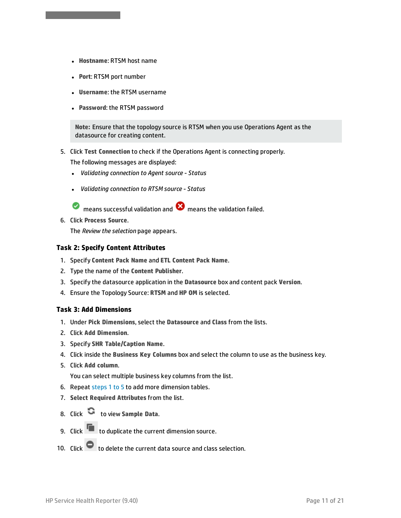- **Hostname: RTSM host name**
- **Port: RTSM port number**

SHR Content Designer Help

- <sup>l</sup> **Username**: the RTSM username
- **Password: the RTSM password**

**Note:** Ensure that the topology source is RTSM when you use Operations Agent as the datasource for creating content.

5. Click **Test Connection** to check if the Operations Agent is connecting properly.

The following messages are displayed:

- <sup>l</sup> *Validating connection to Agent source - Status*
- <sup>l</sup> *Validating connection to RTSM source - Status*

☑ means successful validation and  $\bullet$  means the validation failed.

6. Click **Process Source**.

The *Review the selection* page appears.

#### **Task 2: Specify Content Attributes**

- 1. Specify **Content Pack Name** and **ETL Content Pack Name**.
- 2. Type the name of the **Content Publisher**.
- 3. Specify the datasource application in the **Datasource** box and content pack **Version**.
- 4. Ensure the Topology Source: **RTSM** and **HP OM** is selected.

#### **Task 3: Add Dimensions**

- <span id="page-10-0"></span>1. Under **Pick Dimensions**, select the **Datasource** and **Class** from the lists.
- 2. Click **Add Dimension**.
- 3. Specify **SHR Table/Caption Name**.
- 4. Click inside the **Business Key Columns** box and select the column to use as the business key.
- 5. Click **Add column**.

You can select multiple business key columns from the list.

- 6. Repeat [steps](#page-10-0) 1 to 5 to add more dimension tables.
- 7. **Select Required Attributes** from the list.
- 8. Click **the view Sample Data.**
- 9. Click to duplicate the current dimension source.
- 10. Click  $\blacksquare$  to delete the current data source and class selection.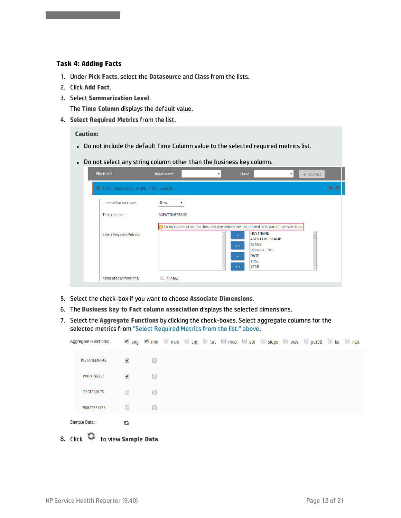#### **Task 4: Adding Facts**

SHR Content Designer Help

- 1. Under **Pick Facts**, select the **Datasource** and **Class** from the lists.
- 2. Click **Add Fact**.
- 3. Select **Summarization Level**.

<span id="page-11-0"></span>The **Time Column** displays the default value.

4. **Select Required Metrics** from the list.

**Caution:**

- Do not include the default Time Column value to the selected required metrics list.
- Do not select any string column other than the business key column.

| <b>Pick Facts:</b>                     | Datasource:<br>Class:<br>$\boldsymbol{\mathrm{v}}$                                                                                                                                                                                             | ▼<br>$+$ Add Fact |
|----------------------------------------|------------------------------------------------------------------------------------------------------------------------------------------------------------------------------------------------------------------------------------------------|-------------------|
| Fact   Datasource: SCOPE Class: GLOBAL |                                                                                                                                                                                                                                                |                   |
| <b>Summarization Level:</b>            | Raw<br>$\boldsymbol{\mathrm{v}}$                                                                                                                                                                                                               |                   |
| Time column:                           | <b>AGENTTIMESTAMP</b>                                                                                                                                                                                                                          |                   |
| <b>Select Required Metrics:</b>        | String column other than business key column are not allowed to be part of fact selection.<br><b>HOSTNAME</b><br><b>AGENTTIMESTAMP</b><br><b>BLANK</b><br>$>$ $>$<br><b>RECORD_TYPE</b><br><b>DATE</b><br><b>TIME</b><br><b>YEAR</b><br>$\leq$ |                   |
| <b>Associated Dimensions:</b>          | GLOBAL                                                                                                                                                                                                                                         |                   |

- 5. Select the check-box if you want to choose **Associate Dimensions**.
- 6. The **Business key to Fact column association** displays the selected dimensions.
- 7. Select the **Aggregate Functions** by clicking the check-boxes. Select aggregate columns for the selected metrics from "Select [Required](#page-11-0) Metrics from the list." above.

| Aggregate Functions: |                      |              |  |  |  | Øavg Ømin ■ max ■ cnt ■ tot ■ med ■ std ■ slope ■ wav ■ per90 ■ lst ■ nlst |  |
|----------------------|----------------------|--------------|--|--|--|----------------------------------------------------------------------------|--|
| INSTANCENAME         | ✔                    |              |  |  |  |                                                                            |  |
| WORKINGSET           | $\blacktriangledown$ |              |  |  |  |                                                                            |  |
| PAGEFAULTS           |                      |              |  |  |  |                                                                            |  |
| PRIVATEBYTES         |                      | $\mathbf{L}$ |  |  |  |                                                                            |  |
| Sample Data:         | G                    |              |  |  |  |                                                                            |  |
| ∽                    |                      |              |  |  |  |                                                                            |  |

8. Click to view **Sample Data**.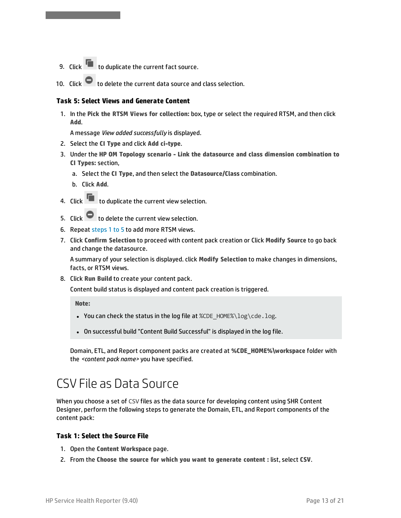- 9. Click  $\begin{array}{|l|} \hline \end{array}$  to duplicate the current fact source.
- 10. Click  $\bullet$  to delete the current data source and class selection.

#### <span id="page-12-1"></span>**Task 5: Select Views and Generate Content**

1. In the **Pick the RTSM Views for collection:** box, type or select the required RTSM, and then click **Add**.

A message *View added successfully* is displayed.

- 2. Select the **CI Type** and click **Add ci-type**.
- 3. Under the **HP OM Topology scenario - Link the datasource and class dimension combination to CI Types:** section,
	- a. Select the **CI Type**, and then select the **Datasource/Class** combination.
	- b. Click **Add**.

SHR Content Designer Help

- 4. Click to duplicate the current view selection.
- 5. Click  $\bullet$  to delete the current view selection.
- 6. Repeat [steps](#page-12-1) 1 to 5 to add more RTSM views.
- 7. Click **Confirm Selection** to proceed with content pack creation or Click **Modify Source** to go back and change the datasource.

A summary of your selection is displayed. click **Modify Selection** to make changes in dimensions, facts, or RTSM views.

8. Click **Run Build** to create your content pack.

Content build status is displayed and content pack creation is triggered.

**Note:**

- You can check the status in the log file at %CDE\_HOME%\log\cde.log.
- On successful build "Content Build Successful" is displayed in the log file.

Domain, ETL, and Report component packs are created at **%CDE\_HOME%\workspace** folder with the *<content pack name>* you have specified.

### <span id="page-12-0"></span>CSV File as Data Source

When you choose a set of CSV files as the data source for developing content using SHR Content Designer, perform the following steps to generate the Domain, ETL, and Report components of the content pack:

#### **Task 1: Select the Source File**

- 1. Open the **Content Workspace** page.
- 2. From the **Choose the source for which you want to generate content :** list, select **CSV**.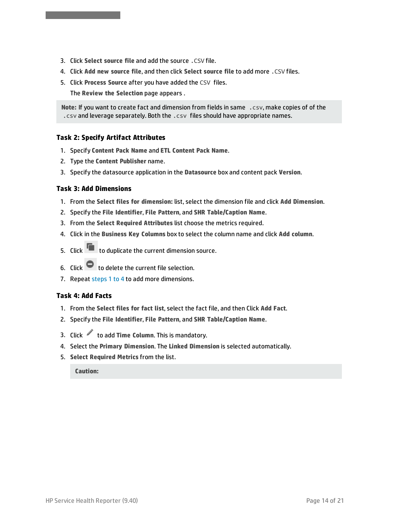- 3. Click **Select source file** and add the source .CSV file.
- 4. Click **Add new source file**, and then click **Select source file** to add more .CSV files.
- 5. Click **Process Source** after you have added the CSV files.

The **Review the Selection** page appears .

**Note:** If you want to create fact and dimension from fields in same .csv, make copies of of the .csv and leverage separately. Both the .csv files should have appropriate names.

#### **Task 2: Specify Artifact Attributes**

- 1. Specify **Content Pack Name** and **ETL Content Pack Name**.
- 2. Type the **Content Publisher** name.
- 3. Specify the datasource application in the **Datasource** box and content pack **Version**.

#### **Task 3: Add Dimensions**

SHR Content Designer Help

- <span id="page-13-0"></span>1. From the **Select files for dimension:** list, select the dimension file and click **Add Dimension**.
- 2. Specify the **File Identifier**, **File Pattern**, and **SHR Table/Caption Name**.
- 3. From the **Select Required Attributes** list choose the metrics required.
- 4. Click in the **Business Key Columns** box to select the column name and click **Add column**.
- 5. Click to duplicate the current dimension source.
- 6. Click  $\blacksquare$  to delete the current file selection.
- 7. Repeat [steps](#page-13-0) 1 to 4 to add more dimensions.

#### **Task 4: Add Facts**

- <span id="page-13-1"></span>1. From the **Select files for fact list**, select the fact file, and then Click **Add Fact**.
- 2. Specify the **File Identifier**, **File Pattern**, and **SHR Table/Caption Name**.
- 3. Click to add **Time Column**. This is mandatory.
- 4. Select the **Primary Dimension**. The **Linked Dimension** is selected automatically.
- 5. **Select Required Metrics** from the list.

**Caution:**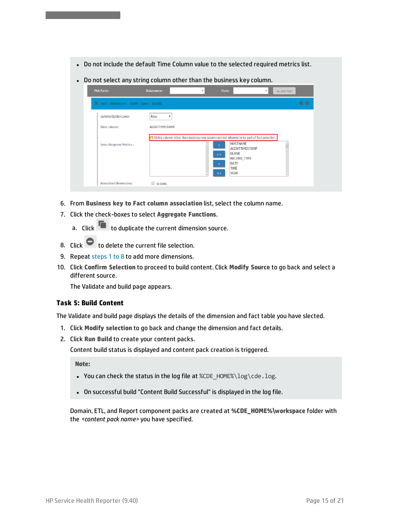- Do not include the default Time Column value to the selected required metrics list.
- Do not select any string column other than the business key column.

| <b>Pick Facts:</b>                     | Class:<br>Datasource:<br>$\boldsymbol{\mathrm{v}}$                                                                                                                                                                                                                              | ۳<br>+ Add Fact |
|----------------------------------------|---------------------------------------------------------------------------------------------------------------------------------------------------------------------------------------------------------------------------------------------------------------------------------|-----------------|
| Fact   Datasource: SCOPE Class: GLOBAL |                                                                                                                                                                                                                                                                                 | ■ ●             |
| <b>Summarization Level:</b>            | Raw                                                                                                                                                                                                                                                                             |                 |
| Time column:                           | <b>AGENTTIMESTAMP</b>                                                                                                                                                                                                                                                           |                 |
| <b>Select Required Metrics:</b>        | String column other than business key column are not allowed to be part of fact selection.<br><b>HOSTNAME</b><br>AGENTTIMESTAMP<br><b>BLANK</b><br>$\rightarrow$ $\rightarrow$<br><b>RECORD_TYPE</b><br><b>DATE</b><br>۰<br><b>TIME</b><br><b>YEAR</b><br>$\epsilon$ $\epsilon$ |                 |
| <b>Associated Dimensions:</b>          | <b>GLOBAL</b>                                                                                                                                                                                                                                                                   |                 |

- 6. From **Business key to Fact column association** list, select the column name.
- 7. Click the check-boxes to select **Aggregate Functions**.
	- a. Click  $\blacksquare$  to duplicate the current dimension source.
- 8. Click  $\bullet$  to delete the current file selection.
- 9. Repeat [steps](#page-13-1) 1 to 8 to add more dimensions.
- 10. Click **Confirm Selection** to proceed to build content. Click **Modify Source** to go back and select a different source.

The Validate and build page appears.

#### **Task 5: Build Content**

SHR Content Designer Help

The Validate and build page displays the details of the dimension and fact table you have slected.

- 1. Click **Modify selection** to go back and change the dimension and fact details.
- 2. Click **Run Build** to create your content packs.

Content build status is displayed and content pack creation is triggered.

**Note:**

- You can check the status in the log file at  $%$ CDE\_HOME $\setminus$ log $\setminus$ cde.log.
- On successful build "Content Build Successful" is displayed in the log file.

Domain, ETL, and Report component packs are created at **%CDE\_HOME%\workspace** folder with the *<content pack name>* you have specified.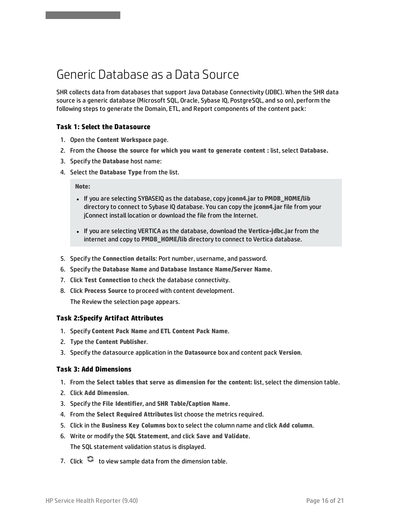### <span id="page-15-0"></span>Generic Database as a Data Source

SHR collects data from databases that support Java Database Connectivity (JDBC). When the SHR data source is a generic database (Microsoft SQL, Oracle, Sybase IQ, PostgreSQL, and so on), perform the following steps to generate the Domain, ETL, and Report components of the content pack:

#### **Task 1: Select the Datasource**

- 1. Open the **Content Workspace** page.
- 2. From the **Choose the source for which you want to generate content :** list, select **Database.**
- 3. Specify the **Database** host name:
- 4. Select the **Database Type** from the list.

**Note:**

SHR Content Designer Help

- <sup>l</sup> If you are selecting SYBASEIQ as the database, copy **jconn4.jar** to **PMDB\_HOME/lib** directory to connect to Sybase IQ database. You can copy the **jconn4.jar** file from your jConnect install location or download the file from the Internet.
- <sup>l</sup> If you are selecting VERTICA as the database, download the **Vertica-jdbc.jar** from the internet and copy to **PMDB\_HOME/lib** directory to connect to Vertica database.
- 5. Specify the **Connection details**: Port number, username, and password.
- 6. Specify the **Database Name** and **Database Instance Name/Server Name**.
- 7. Click **Test Connection** to check the database connectivity.
- 8. Click **Process Source** to proceed with content development. The Review the selection page appears.

#### **Task 2:Specify Artifact Attributes**

- 1. Specify **Content Pack Name** and **ETL Content Pack Name**.
- 2. Type the **Content Publisher**.
- 3. Specify the datasource application in the **Datasource** box and content pack **Version**.

#### **Task 3: Add Dimensions**

- <span id="page-15-1"></span>1. From the **Select tables that serve as dimension for the content:** list, select the dimension table.
- 2. Click **Add Dimension**.
- 3. Specify the **File Identifier**, and **SHR Table/Caption Name**.
- 4. From the **Select Required Attributes** list choose the metrics required.
- 5. Click in the **Business Key Columns** box to select the column name and click **Add column**.
- 6. Write or modify the **SQL Statement**, and click **Save and Validate**. The SQL statement validation status is displayed.
- 7. Click  $\bullet$  to view sample data from the dimension table.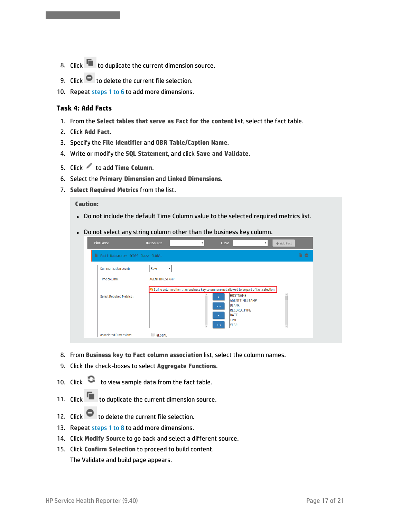- 8. Click  $\blacksquare$  to duplicate the current dimension source.
- 9. Click  $\bullet$  to delete the current file selection.
- 10. Repeat [steps](#page-15-1) 1 to 6 to add more dimensions.

#### **Task 4: Add Facts**

SHR Content Designer Help

- <span id="page-16-0"></span>1. From the **Select tables that serve as Fact for the content** list, select the fact table.
- 2. Click **Add Fact**.
- 3. Specify the **File Identifier** and **OBR Table/Caption Name**.
- 4. Write or modify the **SQL Statement**, and click **Save and Validate**.
- 5. Click to add **Time Column**.
- 6. Select the **Primary Dimension** and **Linked Dimensions**.
- 7. **Select Required Metrics** from the list.

#### **Caution:**

- Do not include the default Time Column value to the selected required metrics list.
- Do not select any string column other than the business key column.

| Fact  Datasource: SCOPE Class: GLOBAL |                                                                                            | <b>GO</b> |
|---------------------------------------|--------------------------------------------------------------------------------------------|-----------|
| <b>Summarization Level:</b>           | Raw<br>$\overline{\mathbf{v}}$                                                             |           |
| Time column:                          | <b>AGENTTIMESTAMP</b>                                                                      |           |
|                                       | String column other than business key column are not allowed to be part of fact selection. |           |
| <b>Select Required Metrics:</b>       | <b>HOSTNAME</b><br>$\overline{\phantom{0}}$<br><b>AGENTTIMESTAMP</b>                       |           |
|                                       | <b>BLANK</b><br>$>$ $>$                                                                    |           |
|                                       | <b>RECORD TYPE</b>                                                                         |           |
|                                       | <b>DATE</b><br>$\epsilon$                                                                  |           |
|                                       | <b>TIME</b>                                                                                |           |
|                                       | <b>YEAR</b><br>$\epsilon$ $\epsilon$                                                       |           |

- 8. From **Business key to Fact column association** list, select the column names.
- 9. Click the check-boxes to select **Aggregate Functions**.
- 10. Click **to view sample data from the fact table.**
- 11. Click to duplicate the current dimension source.
- 12. Click  $\bullet$  to delete the current file selection.
- 13. Repeat [steps](#page-16-0) 1 to 8 to add more dimensions.
- 14. Click **Modify Source** to go back and select a different source.
- 15. Click **Confirm Selection** to proceed to build content.

The Validate and build page appears.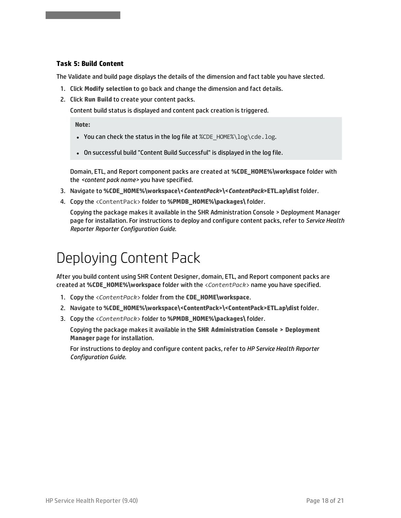#### **Task 5: Build Content**

SHR Content Designer Help

The Validate and build page displays the details of the dimension and fact table you have slected.

- 1. Click **Modify selection** to go back and change the dimension and fact details.
- 2. Click **Run Build** to create your content packs.

Content build status is displayed and content pack creation is triggered.

**Note:**

- You can check the status in the log file at %CDE\_HOME%\log\cde.log.
- On successful build "Content Build Successful" is displayed in the log file.

Domain, ETL, and Report component packs are created at **%CDE\_HOME%\workspace** folder with the *<content pack name>* you have specified.

- 3. Navigate to **%CDE\_HOME%\workspace\<***ContentPack***>\<***ContentPack***>ETL.ap\dist** folder.
- 4. Copy the <ContentPack> folder to **%PMDB\_HOME%\packages\** folder.

Copying the package makes it available in the SHR Administration Console > Deployment Manager page for installation. For instructions to deploy and configure content packs, refer to *Service Health Reporter Reporter Configuration Guide*.

## <span id="page-17-0"></span>Deploying Content Pack

After you build content using SHR Content Designer, domain, ETL, and Report component packs are created at **%CDE\_HOME%\workspace** folder with the <*ContentPack*> name you have specified.

- 1. Copy the <*ContentPack*> folder from the **CDE\_HOME\workspace**.
- 2. Navigate to **%CDE\_HOME%\workspace\<ContentPack>\<ContentPack>ETL.ap\dist** folder.
- 3. Copy the <*ContentPack*> folder to **%PMDB\_HOME%\packages\** folder.

Copying the package makes it available in the **SHR Administration Console > Deployment Manager** page for installation.

For instructions to deploy and configure content packs, refer to *HP Service Health Reporter Configuration Guide*.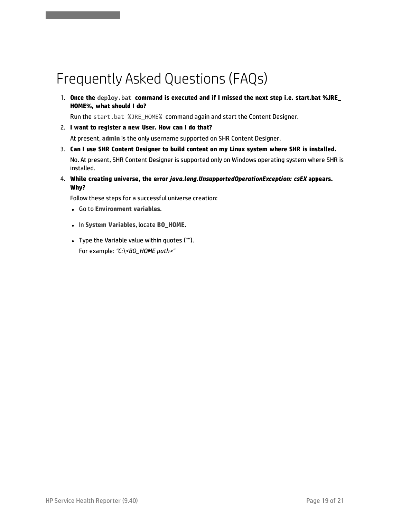## <span id="page-18-0"></span>Frequently Asked Questions (FAQs)

1. **Once the deploy.bat command is executed and if I missed the next step i.e. start.bat %JRE\_ HOME%, what should I do?**

Run the start.bat %JRE\_HOME% command again and start the Content Designer.

- 2. **I want to register a new User. How can I do that?** At present, **admin** is the only username supported on SHR Content Designer.
- 3. **Can I use SHR Content Designer to build content on my Linux system where SHR is installed.** No. At present, SHR Content Designer is supported only on Windows operating system where SHR is installed.
- 4. **While creating universe, the error** *java.lang.UnsupportedOperationException: csEX* **appears. Why?**

Follow these steps for a successful universe creation:

<sup>l</sup> Go to **Environment variables**.

SHR Content Designer Help

- <sup>l</sup> In **System Variables**, locate **BO\_HOME**.
- Type the Variable value within quotes (""). For example: *"C:\<BO\_HOME path>"*